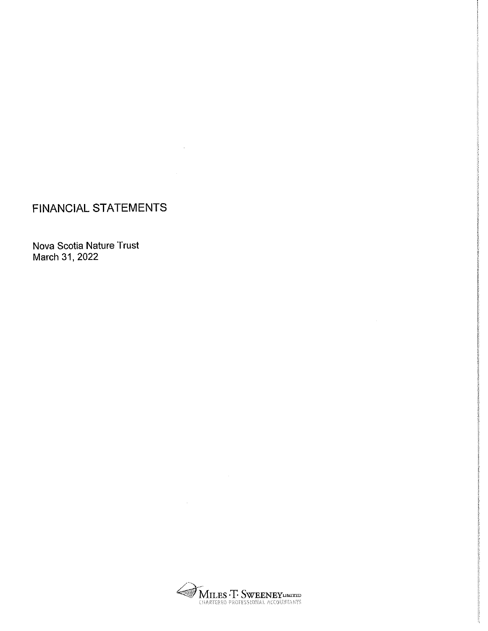## FINANCIAL STATEMENTS

Nova Scotia Nature Trust March 31, 2022



 $\sim$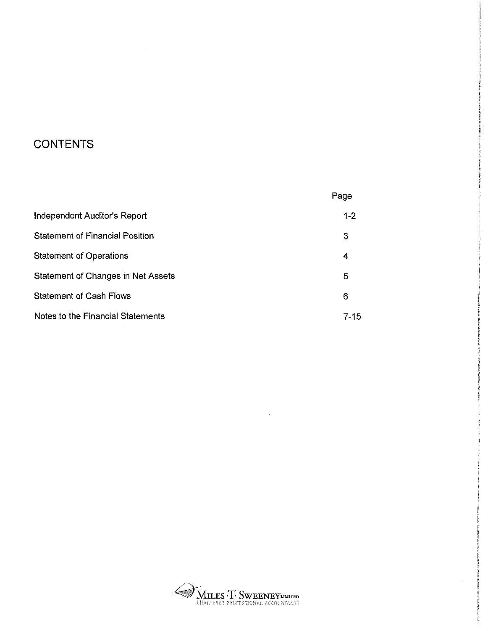# **CONTENTS**

|                                        | Page     |
|----------------------------------------|----------|
| Independent Auditor's Report           | $1 - 2$  |
| <b>Statement of Financial Position</b> | 3        |
| <b>Statement of Operations</b>         | 4        |
| Statement of Changes in Net Assets     | 5        |
| <b>Statement of Cash Flows</b>         | 6        |
| Notes to the Financial Statements      | $7 - 15$ |

 $\sim$ 



 $\Delta \sim 10^4$ 

 $\bar{\gamma}$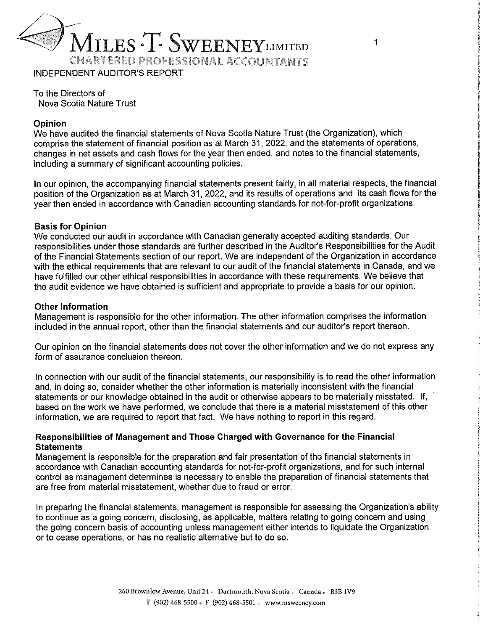

To the Directors of Nova Scotia Nature Trust

### Opinion

We have audited the financial statements of Nova Scotia Nature Trust (the Organization), which comprise the statement of financial position as at March 31, 2022, and the statements of operations, changes in net assets and cash flows for the year then ended, and notes to the financial statements, including a summary of significant accounting policies.

In our opinion, the accompanying financial statements present fairly, in all material respects, the financial position of the Organization as at March 31, 2022, and its results of operations and its cash flows for the year then ended in accordance with Canadian accounting standards for not-for-profit organizations.

### Basis for Opinion

We conducted our audit in accordance with Canadian generally accepted auditing standards. Our responsibilities under those standards are further described in the Auditor's Responsibilities for the Audit of the Financial Statements section of our report. We are independent of the Organization in accordance with the ethical requirements that are relevant to our audit of the financial statements in Canada, and we have fulfilled our other ethical responsibilities in accordance with these requirements. We believe that the audit evidence we have obtained is sufficient and appropriate to provide a basis for our opinion.

#### Other Information

Management is responsible for the other information. The other information comprises the information included in the annual report, other than the financial statements and our auditor's report thereon.

Our opinion on the financial statements does not cover the other information and we do not express any form of assurance conclusion thereon.

In connection with our audit of the financial statements, our responsibility is to read the other information and, in doing so, consider whether the other information is materially inconsistent with the financiai statements or our knowledge obtained in the audit or otherwise appears to be materially misstated. If, based on the work we have performed, we conclude that there is a material misstatement of this other information, we are required to report that fact. We have nothing to report in this regard.

### Responsibilities of Management and Those Charged with Governance for the Financial **Statements**

Management is responsible for the preparation and fair presentation of the financial statements in accordance with Canadian accounting standards for not-for-profit organizations, and for such internal control as management determines is necessary to enable the preparation of financial statements that are free from material misstatement, whether due to fraud or error.

In preparing the financial statements, management is responsible for assessing the Organization's ability to continue as a going concern, disclosing, as applicable, matters relating to going concern and using the going concern basis of accounting unless management either intends to liquidate the Organization or to cease operations, or has no realistic alternative but to do so.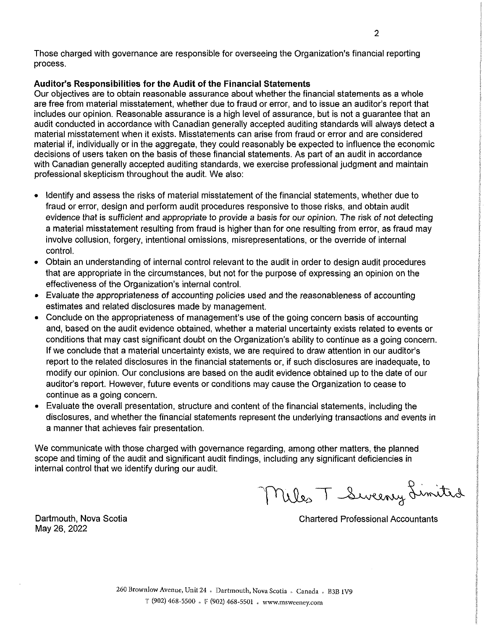Those charged with governance are responsible for overseeing the Organization's financial reporting process.

### Auditor's Responsibilities for the Audit of the Financial Statements

Our objectives are to obtain reasonable assurance about whether the financial statements as a whole are free from material misstatement, whether due to fraud or error, and to issue an auditor's report that includes our opinion. Reasonable assurance is a high level of assurance, but is not a guarantee that an audit conducted in accordance with Canadian generally accepted auditing standards will always detect a material misstatement when it exists. Misstatements can arise from fraud or error and are considered material if, individually or in the aggregate, they could reasonably be expected to influence the economic decisions of users taken on the basis of these financial statements. As part of an audit in accordance with Canadian generally accepted auditing standards, we exercise professional judgment and maintain professional skepticism throughout the audit. We also:

- <sup>0</sup>Identify and assess the risks of material misstatement of the financial statements, whether due to fraud or error, design and perform audit procedures responsive to those risks, and obtain audit evidence that is sufficient and appropriate to provide a basis for our opinion. The risk of not detecting a material misstatement resulting from fraud is higher than for one resulting from error, as fraud may involve collusion, forgery, intentional omissions, misrepresentations, or the override of internal control.
- o Obtain an understanding of internal control relevant to the audit in order to design audit procedures that are appropriate in the circumstances, but not for the purpose of expressing an opinion on the effectiveness of the Organization's internal control.
- Evaluate the appropriateness of accounting policies used and the reasonableness of accounting estimates and related disclosures made by management.
- Conclude on the appropriateness of management's use of the going concern basis of accounting and, based on the audit evidence obtained, whether a material uncertainty exists related to events or conditions that may cast significant doubt on the Organization's ability to continue as a going concern. If we conclude that a material uncertainty exists, we are required to draw attention in our auditor's report to the related disclosures in the financial statements or, if such disclosures are inadequate, to modify our opinion. Our conclusions are based on the audit evidence obtained up to the date of our auditor's report. However, future events or conditions may cause the Organization to cease to continue as a going concern.
- Evaluate the overall presentation, structure and content of the financial statements, including the disclosures, and whether the financial statements represent the underlying transactions and events in a manner that achieves fair presentation.

We communicate with those charged with governance regarding, among other matters, the planned scope and timing of the audit and significant audit findings, including any significant deficiencies in internal control that we identify during our audit.

Miles T Sweeney Limited

May 26, 2022

Dartmouth, Nova Scotia Chartered Professional Accountants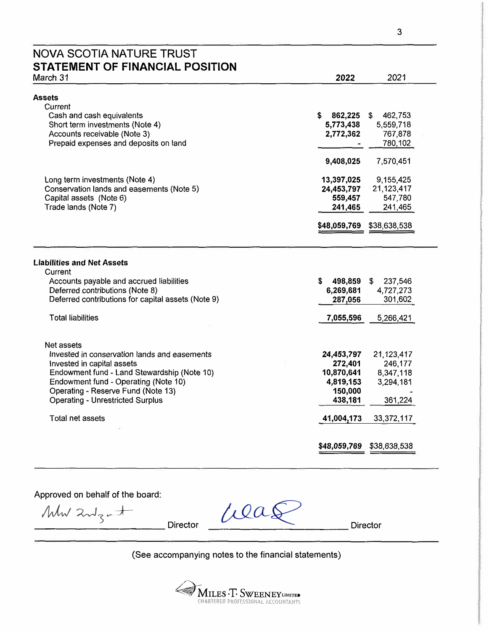# NOVA SCOTIA NATURE TRUST **STATEMENT OF FINANCIAL POSITION**

| March 31                                           | 2022          | 2021          |
|----------------------------------------------------|---------------|---------------|
| Assets                                             |               |               |
| Current                                            |               |               |
| Cash and cash equivalents                          | \$<br>862,225 | 462,753<br>\$ |
| Short term investments (Note 4)                    | 5,773,438     | 5,559,718     |
| Accounts receivable (Note 3)                       | 2,772,362     | 767,878       |
| Prepaid expenses and deposits on land              |               | 780,102       |
|                                                    | 9,408,025     | 7,570,451     |
| Long term investments (Note 4)                     | 13,397,025    | 9,155,425     |
| Conservation lands and easements (Note 5)          | 24,453,797    | 21, 123, 417  |
| Capital assets (Note 6)                            | 559,457       | 547,780       |
| Trade lands (Note 7)                               | 241,465       | 241,465       |
|                                                    | \$48,059,769  | \$38,638,538  |
|                                                    |               |               |
| <b>Liabilities and Net Assets</b>                  |               |               |
| Current                                            |               |               |
| Accounts payable and accrued liabilities           | \$<br>498,859 | 237,546<br>\$ |
| Deferred contributions (Note 8)                    | 6,269,681     | 4,727,273     |
| Deferred contributions for capital assets (Note 9) | 287,056       | 301,602       |
| <b>Total liabilities</b>                           | 7,055,596     | 5,266,421     |
|                                                    |               |               |
| Net assets                                         |               |               |
| Invested in conservation lands and easements       | 24,453,797    | 21,123,417    |
| Invested in capital assets                         | 272,401       | 246,177       |
| Endowment fund - Land Stewardship (Note 10)        | 10,870,641    | 8,347,118     |
| Endowment fund - Operating (Note 10)               | 4,819,153     | 3,294,181     |
| Operating - Reserve Fund (Note 13)                 | 150,000       |               |
| <b>Operating - Unrestricted Surplus</b>            | 438,181       | 361,224       |
| Total net assets                                   | 41,004,173    | 33,372,117    |
|                                                    |               |               |
|                                                    | \$48,059,769  | \$38,638,538  |

Approved on behalf of the board:

 $M_{w\lambda}$  and  $\frac{1}{2}$   $\frac{1}{2}$  Director Director Director

(See accompanying notes to the financial statements)



**INTERNATIVATES** ve zeeme �: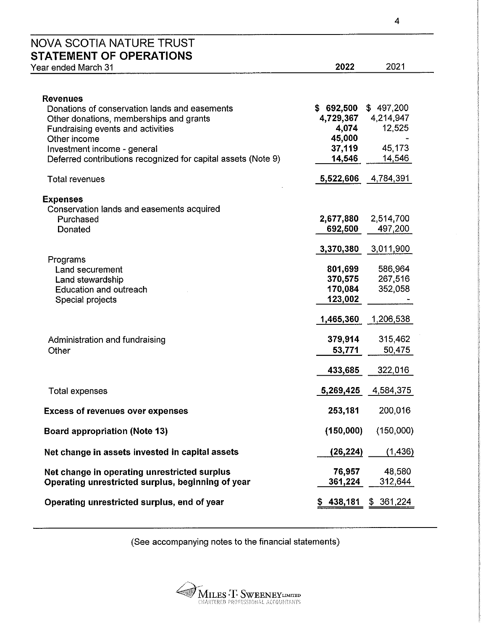| Year ended March 31                                                                               | 2022              | 2021              |
|---------------------------------------------------------------------------------------------------|-------------------|-------------------|
| <b>Revenues</b>                                                                                   |                   |                   |
| Donations of conservation lands and easements                                                     | \$692,500         | \$497,200         |
| Other donations, memberships and grants                                                           | 4,729,367         | 4,214,947         |
| Fundraising events and activities                                                                 | 4,074             | 12,525            |
| Other income<br>Investment income - general                                                       | 45,000<br>37,119  | 45,173            |
| Deferred contributions recognized for capital assets (Note 9)                                     | 14,546            | 14,546            |
| <b>Total revenues</b>                                                                             | 5,522,606         | 4,784,391         |
| <b>Expenses</b>                                                                                   |                   |                   |
| Conservation lands and easements acquired                                                         |                   |                   |
| Purchased                                                                                         | 2,677,880         | 2,514,700         |
| Donated                                                                                           | 692,500           | 497,200           |
|                                                                                                   | 3,370,380         | 3,011,900         |
| Programs<br>Land securement                                                                       | 801,699           | 586,964           |
| Land stewardship                                                                                  | 370,575           | 267,516           |
| <b>Education and outreach</b>                                                                     | 170,084           | 352,058           |
| Special projects                                                                                  | 123,002           |                   |
|                                                                                                   | 1,465,360         | 1,206,538         |
| Administration and fundraising                                                                    | 379,914           | 315,462           |
| Other                                                                                             | 53,771            | 50,475            |
|                                                                                                   | 433,685           | 322,016           |
| <b>Total expenses</b>                                                                             | 5,269,425         | 4,584,375         |
| <b>Excess of revenues over expenses</b>                                                           | 253,181           | 200,016           |
| <b>Board appropriation (Note 13)</b>                                                              | (150,000)         | (150,000)         |
| Net change in assets invested in capital assets                                                   | (26, 224)         | (1, 436)          |
| Net change in operating unrestricted surplus<br>Operating unrestricted surplus, beginning of year | 76,957<br>361,224 | 48,580<br>312,644 |

(See accompanying notes to the financial statements)



 $\overline{\mathbf{4}}$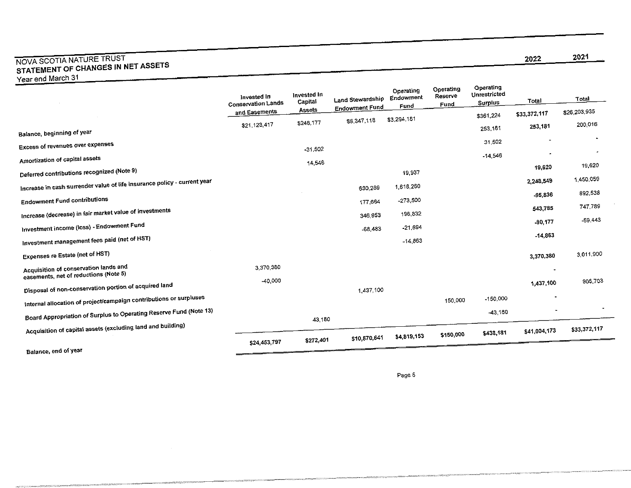### NOVA SCOTIA NATURE TRUST<br>CE CHANGES IN N STATEMENT OF CHANGES IN NET ASSETS Year end March 31

|                                                                                | invested In<br>Conservation Lands | Invested In<br>Capital | Land Stewardship      | Operating<br>Endowment<br>Fund | Operating<br>Reserve<br>Fund | Operating<br>Unrestricted<br>Surplus | Total          | Total        |
|--------------------------------------------------------------------------------|-----------------------------------|------------------------|-----------------------|--------------------------------|------------------------------|--------------------------------------|----------------|--------------|
|                                                                                | and Easements                     | <b>Assets</b>          | <b>Endowment Fund</b> | \$3,294,181                    |                              | \$361,224                            | \$33,372,117   | \$26,203,935 |
|                                                                                | \$21,123,417                      | \$246.177              | \$8,347,118           |                                |                              | 253,181                              | 253,181        | 200,016      |
| Balance, beginning of year                                                     |                                   |                        |                       |                                |                              | 31.502                               | ٠              |              |
| <b>Excess of revenues over expenses</b>                                        |                                   | $-31,502$              |                       |                                |                              |                                      |                |              |
| Amortization of capital assets                                                 |                                   | 14,546                 |                       |                                |                              | $-14,546$                            |                | 19.620       |
| Deferred contributions recognized (Note 9)                                     |                                   |                        |                       | 19,937                         |                              |                                      | 19,620         |              |
| Increase in cash surrender value of life insurance policy - current year       |                                   |                        | 630,289               | 1,618,260                      |                              |                                      | 2.248,549      | 1,450,059    |
| <b>Endowment Fund contributions</b>                                            |                                   |                        | 177,664               | $-273,500$                     |                              |                                      | $-95,836$      | 892,538      |
| Increase (decrease) in fair market value of investments                        |                                   |                        | 346.953               | 196,832                        |                              |                                      | 543,785        | 747,789      |
| Investment income (loss) - Endowment Fund                                      |                                   |                        | $-68,483$             | $-21,694$                      |                              |                                      | $-90,177$      | -59,443      |
| Investment management fees paid (net of HST)                                   |                                   |                        |                       | $-14,863$                      |                              |                                      | $-14,863$      |              |
| Expenses re Estate (net of HST)                                                |                                   |                        |                       |                                |                              |                                      | 3,370,380      | 3,011,900    |
| Acquisition of conservation lands and<br>easements, net of reductions (Note 5) | 3,370,380                         |                        |                       |                                |                              |                                      | $\blacksquare$ |              |
| Disposal of non-conservation portion of acquired land                          | -40,000                           |                        | 1,437,100             |                                |                              |                                      | 1,437,100      | 905,703      |
| Internal allocation of project/campaign contributions or surpluses             |                                   |                        |                       |                                | 150,000                      | $-150,000$                           | $\blacksquare$ |              |
| Board Appropriation of Surplus to Operating Reserve Fund (Note 13)             |                                   | 43,180                 |                       |                                |                              | -43,160                              |                |              |
| Acquisition of capital assets (excluding land and building)                    |                                   |                        |                       |                                | \$150,000                    | \$438,181                            | \$41,004,173   | \$33,372,117 |
| <b>A Luck and of VOOR</b>                                                      | \$24,453,797                      | \$272,401              | \$10,870,641          | \$4,819,153                    |                              |                                      |                |              |

mara

Balance, end 01 year

Page 5

2022 2021

÷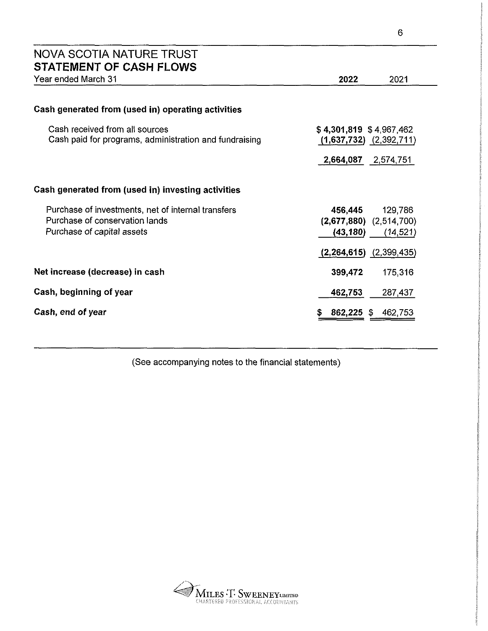| NOVA SCOTIA NATURE TRUST<br><b>STATEMENT OF CASH FLOWS</b>                               |                                                          |
|------------------------------------------------------------------------------------------|----------------------------------------------------------|
| Year ended March 31                                                                      | 2022<br>2021                                             |
|                                                                                          |                                                          |
| Cash generated from (used in) operating activities                                       |                                                          |
| Cash received from all sources<br>Cash paid for programs, administration and fundraising | $$4,301,819$ $$4,967,462$<br>$(1,637,732)$ $(2,392,711)$ |
|                                                                                          | 2,664,087 2,574,751                                      |
| Cash generated from (used in) investing activities                                       |                                                          |
| Purchase of investments, net of internal transfers                                       | 456,445<br>129,786                                       |
| Purchase of conservation lands                                                           | $(2,677,880)$ $(2,514,700)$                              |
| Purchase of capital assets                                                               | (43,180)<br>(14, 521)                                    |
|                                                                                          | (2, 264, 615)<br>(2,399,435)                             |
| Net increase (decrease) in cash                                                          | 399,472<br>175,316                                       |
| Cash, beginning of year                                                                  | 462,753<br>287,437                                       |
| Cash, end of year                                                                        | 862,225<br>462,753<br>- \$                               |

(See accompanying notes to the financial statements)



 $\boldsymbol{6}$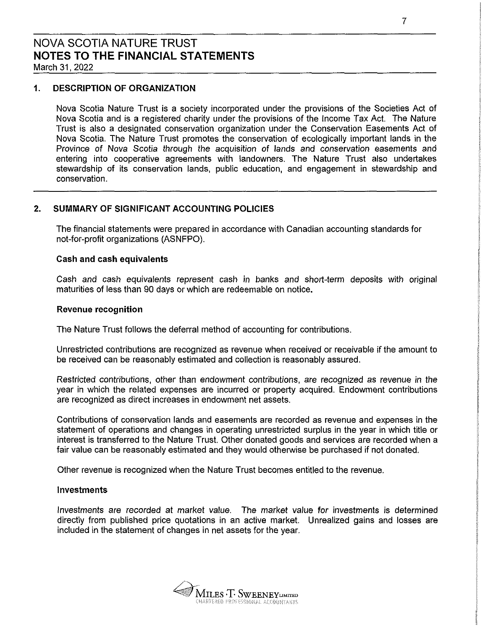### 1. DESCRIPTION OF ORGANIZATION

Nova Scotia Nature Trust is a society incorporated under the provisions of the Societies Act of Nova Scotia and is a registered charity under the provisions of the Income Tax Act. The Nature Trust is also a designated conservation organization under the Conservation Easements Act of Nova Scotia. The Nature Trust promotes the conservation of ecologically important lands in the Province of Nova Scotia through the acquisition of lands and conservation easements and entering into cooperative agreements with landowners. The Nature Trust also undertakes stewardship of its conservation lands, public education, and engagement in stewardship and conservation.

### 2. SUMMARY OF SIGNIFICANT ACCOUNTING POLICIES

The financial statements were prepared in accordance with Canadian accounting standards for not—for-profit organizations (ASNFPO).

### Cash and cash equivalents

Cash and cash equivalents represent cash in banks and short-term deposits with original maturities of less than 90 days or which are redeemable on notice.

### Revenue recognition

The Nature Trust follows the deferral method of accounting for contributions.

Unrestricted contributions are recognized as revenue when received or receivable if the amount to be received can be reasonably estimated and collection is reasonably assured.

Restricted contributions, other than endowment contributions, are recognized as revenue in the year in which the related expenses are incurred or property acquired. Endowment contributions are recognized as direct increases in endowment net assets.

Contributions of conservation lands and easements are recorded as revenue and expenses in the statement of operations and changes in operating unrestricted surplus in the year in which title or interest is transferred to the Nature Trust. Other donated goods and services are recorded when a fair value can be reasonably estimated and they would otherwise be purchased if not donated.

Other revenue is recognized when the Nature Trust becomes entitled to the revenue.

### Investments

Investments are recorded at market value. The market value for investments is determined directly from published price quotations in an active market. Unrealized gains and losses are included in the statement of changes in net assets for the year.

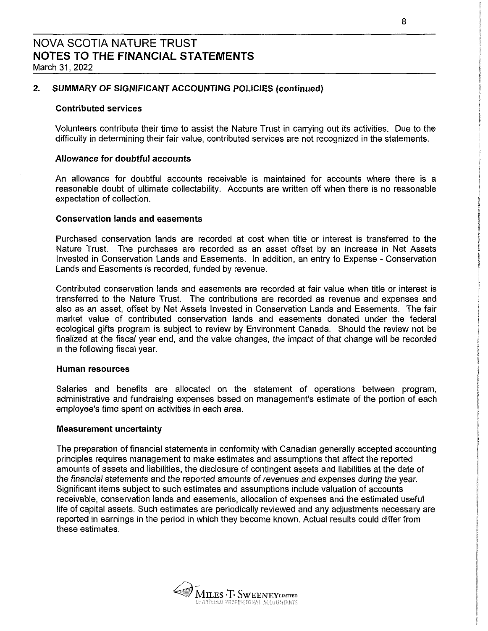### 2. SUMMARY OF SIGMFICANT ACCOUNTING POLICIES (continued)

#### Contributed services

Volunteers contribute their time to assist the Nature Trust in carrying out its activities. Due to the difficulty in determining their fair value, contributed services are not recognized in the statements.

### Allowance for doubtful accounts

An allowance for doubtful accounts receivable is maintained for accounts where there is a reasonable doubt of ultimate collectability. Accounts are written off when there is no reasonable expectation of collection.

#### Conservation lands and easements

Purchased conservation lands are recorded at cost when title or interest is transferred to the Nature Trust. The purchases are recorded as an asset offset by an increase in Net Assets Invested in Conservation Lands and Easements. In addition, an entry to Expense - Conservation Lands and Easements is recorded, funded by revenue.

Contributed conservation lands and easements are recorded at fair value when title or interest is transferred to the Nature Trust. The contributions are recorded as revenue and expenses and also as an asset, offset by Net Assets Invested in Conservation Lands and Easements. The fair market value of contributed conservation lands and easements donated under the federal ecological gifts program is subject to review by Environment Canada. Should the review not be finalized at the fiscal year end, and the vaiue changes, the impact of that change will be recorded in the following fiscai year.

#### Human resources

Salaries and benefits are allocated on the statement of operations between program, administrative and fundraising expenses based on management's estimate of the portion of each employee's time spent on activities in each area.

#### Measurement uncertainty

The preparation of financial statements in conformity with Canadian generally accepted accounting principles requires management to make estimates and assumptions that affect the reported amounts of assets and liabilities, the disclosure of contingent assets and liabilities at the date of the financial statements and the reported amounts of revenues and expenses during the year. Significant items subject to such estimates and assumptions include valuation of accounts receivable, conservation lands and easements, allocation of expenses and the estimated useful life of capital assets. Such estimates are periodically reviewed and any adjustments necessary are reported in earnings in the period in which they become known. Actual results could differ from these estimates.

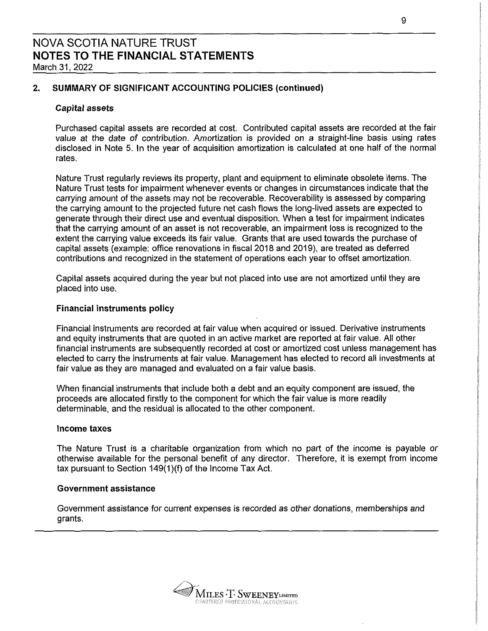### 2. SUMMARY OF SIGNIFICANT ACCOUNTING POLICIES (continued)

### Capital assets

Purchased capital assets are recorded at cost. Contributed capital assets are recorded at the fair value at the date of contribution. Amortization is provided on a straight-line basis using rates disclosed in Note 5. In the year of acquisition amortization is calculated at one half of the normal rates.

Nature Trust regularly reviews its property, plant and equipment to eliminate obsolete items. The Nature Trust tests for impairment whenever events or changes in circumstances indicate that the carrying amount of the assets may not be recoverable. Recoverability is assessed by comparing the carrying amount to the projected future net cash flows the long-lived assets are expected to generate through their direct use and eventual disposition. When a test for impairment indicates that the carrying amount of an asset is not recoverable, an impairment loss is recognized to the extent the carrying value exceeds its fair value. Grants that are used towards the purchase of capital assets (example: office renovations in fiscal 2018 and 2019), are treated as deferred contributions and recognized in the statement of operations each year to offset amortization.

Capital assets acquired during the year but not placed into use are not amortized until they are placed into use.

#### Financial instruments policy

Financial instruments are recorded at fair value when acquired or issued. Derivative instruments and equity instruments that are quoted in an active market are reported at fair value. All other financial instruments are subsequently recorded at cost or amortized cost unless management has elected to carry the instruments at fair value. Management has elected to record alt investments at fair value as they are managed and evaluated on a fair value basis.

When financial instruments that include both a debt and an equity component are issued, the proceeds are allocated firstly to the component for which the fair value is more readily determinable, and the residual is allocated to the other component.

#### Income taxes

The Nature Trust is a charitable organization from which no part of the income is payable or otherwise available for the personal benefit of any director. Therefore, it is exempt from income tax pursuant to Section 149(1)(f) of the Income Tax Act.

#### Government assistance

Government assistance for current expenses is recorded as other donations, memberships and grants.

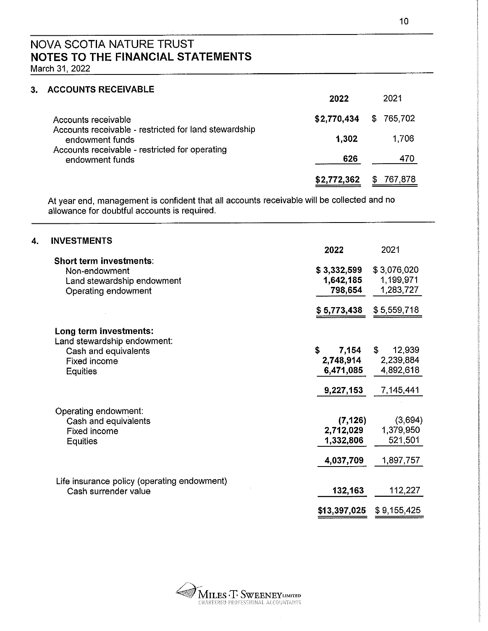### 3. ACCOUNTS RECEIVABLE

|                                                                          | 2022        | 2021          |
|--------------------------------------------------------------------------|-------------|---------------|
| Accounts receivable                                                      | \$2,770,434 | \$765,702     |
| Accounts receivable - restricted for land stewardship<br>endowment funds | 1.302       | 1,706         |
| Accounts receivable - restricted for operating<br>endowment funds        | 626         | 470           |
|                                                                          | \$2,772,362 | 767,878<br>S. |

At year end, management is confident that all accounts receivable will be collected and no allowance for doubtful accounts is required.

| 4. | <b>INVESTMENTS</b>                          | 2022         | 2021         |
|----|---------------------------------------------|--------------|--------------|
|    | Short term investments:                     |              |              |
|    | Non-endowment                               | \$3,332,599  | \$3,076,020  |
|    | Land stewardship endowment                  | 1,642,185    | 1,199,971    |
|    | Operating endowment                         | 798,654      | 1,283,727    |
|    |                                             | \$5,773,438  | \$5,559,718  |
|    | Long term investments:                      |              |              |
|    | Land stewardship endowment:                 |              |              |
|    | Cash and equivalents                        | 7,154<br>S.  | 12,939<br>\$ |
|    | Fixed income                                | 2,748,914    | 2,239,884    |
|    | Equities                                    | 6,471,085    | 4,892,618    |
|    |                                             | 9,227,153    | 7,145,441    |
|    | Operating endowment:                        |              |              |
|    | Cash and equivalents                        | (7, 126)     | (3,694)      |
|    | <b>Fixed income</b>                         | 2,712,029    | 1,379,950    |
|    | Equities                                    | 1,332,806    | 521,501      |
|    |                                             | 4,037,709    | 1,897,757    |
|    | Life insurance policy (operating endowment) |              |              |
|    | Cash surrender value                        | 132,163      | 112,227      |
|    |                                             | \$13,397,025 | \$9,155,425  |

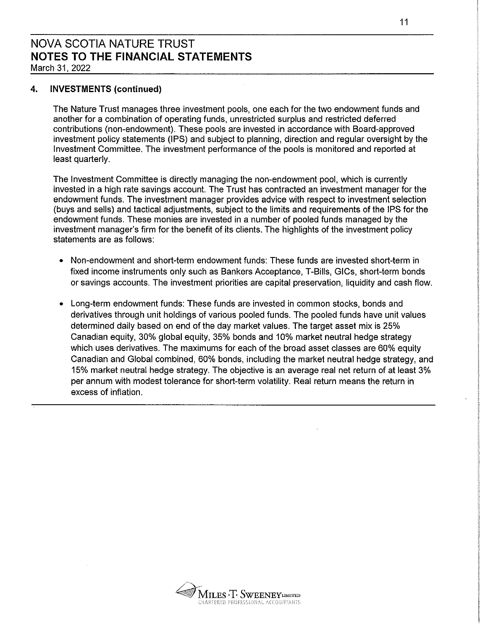### 4. INVESTMENTS (continued)

The Nature Trust manages three investment pools, one each for the two endowment funds and another for a combination of operating funds, unrestricted surplus and restricted deferred contributions (non-endowment). These pools are invested in accordance with Board-approved investment policy statements (IPS) and subject to planning, direction and regular oversight by the Investment Committee. The investment performance of the pools is monitored and reported at least quarterly.

The Investment Committee is directly managing the non-endowment pool, which is currently invested in a high rate savings account. The Trust has contracted an investment manager for the endowment funds. The investment manager provides advice with respect to investment selection (buys and sells) and tactical adjustments, subject to the limits and requirements of the IPS for the endowment funds. These monies are invested in a number of pooled funds managed by the investment manager's firm for the benefit of its clients. The highlights of the investment policy statements are as follows:

- Non-endowment and short-term endowment funds: These funds are invested short-term in fixed income instruments only such as Bankers Acceptance, T-Bills, GICs, short-term bonds or savings accounts. The investment priorities are capital preservation, liquidity and cash flow.
- Long-term endowment funds: These funds are invested in common stocks, bonds and derivatives through unit holdings of various pooled funds. The pooled funds have unit values determined daily based on end ofthe day market values. The target asset mix is 25% Canadian equity, 30% global equity, 35% bonds and 10% market neutral hedge strategy which uses derivatives. The maximums for each of the broad asset classes are 60% equity Canadian and Global combined, 60% bonds, including the market neutral hedge strategy, and 15% market neutral hedge strategy. The objective is an average real net return of at least 3% per annum with modest tolerance for short-term volatility. Real return means the return in excess of inflation.

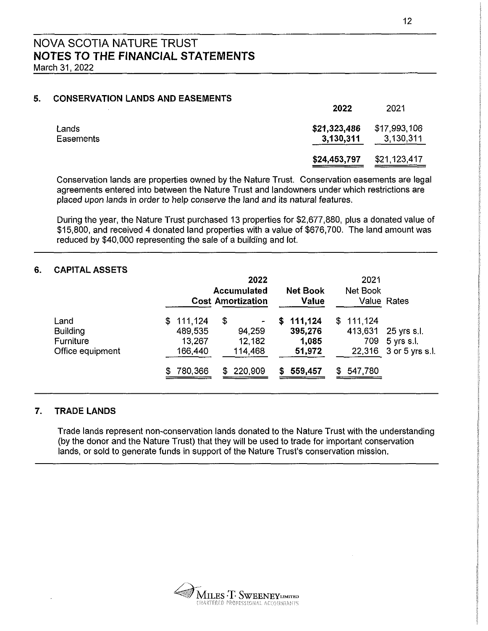### 5. CONSERVATION LANDS AND EASEMENTS

|           | ZUZZ                      | ZUZ I        |
|-----------|---------------------------|--------------|
| Lands     | \$21,323,486 \$17,993,106 |              |
| Easements | 3,130,311                 | 3,130,311    |
|           | \$24,453,797              | \$21,123,417 |

Conservation lands are properties owned by the Nature Trust. Conservation easements are legal agreements entered into between the Nature Trust and landowners under which restrictions are placed upon lands in order to help conserve the land and its natural features.

During the year, the Nature Trust purchased 13 properties for \$2,677,880, plus a donated value of \$15,800, and received 4 donated land properties with a value of \$676,700. The land amount was reduced by \$40,000 representing the sale of a building and lot.

### 6. CAPITAL ASSETS

|                                                          |                                           | 2022<br><b>Accumulated</b><br><b>Cost Amortization</b> | <b>Net Book</b><br>Value                    | 2021<br>Net Book            | Value Rates                                         |
|----------------------------------------------------------|-------------------------------------------|--------------------------------------------------------|---------------------------------------------|-----------------------------|-----------------------------------------------------|
| Land<br><b>Building</b><br>Furniture<br>Office equipment | \$111,124<br>489,535<br>13,267<br>166,440 | \$<br>94,259<br>12,182<br>114,468                      | 111,124<br>S.<br>395,276<br>1,085<br>51,972 | \$111,124<br>413,631<br>709 | 25 yrs s.l.<br>5 yrs s.l.<br>22,316 3 or 5 yrs s i. |
|                                                          | 780,366                                   | 220,909<br>\$                                          | 559,457<br>S.                               | 547,780<br>SS.              |                                                     |

### 7. TRADE LANDS

Trade lands represent non—conservation lands donated to the Nature Trust with the understanding (by the donor and the Nature Trust) that they will be used to trade for important conservation lands, or sold to generate funds in support of the Nature Trust's conservation mission.

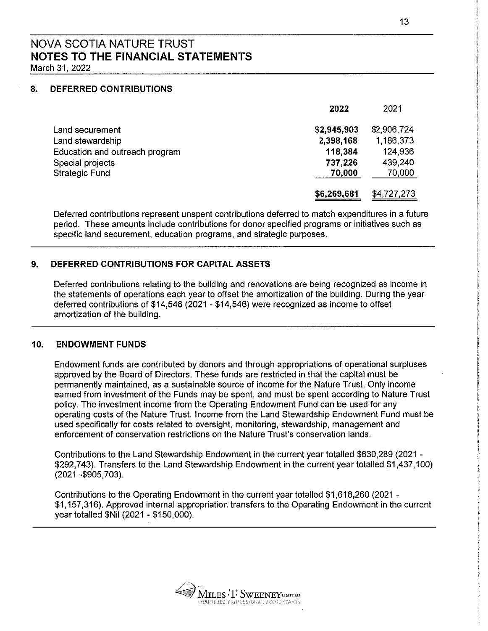March 31, 2022

### 8. DEFERRED CONTRIBUTIONS

|                                | 2022        | 2021        |
|--------------------------------|-------------|-------------|
| Land securement                | \$2,945,903 | \$2,906,724 |
| Land stewardship               | 2,398,168   | 1.186,373   |
| Education and outreach program | 118,384     | 124,936     |
| Special projects               | 737,226     | 439,240     |
| <b>Strategic Fund</b>          | 70,000      | 70,000      |
|                                | \$6,269,681 | \$4,727,273 |

Deferred contributions represent unspent contributions deferred to match expenditures in a future period. These amounts include contributions for donor specified programs or initiatives such as specific land securement, education programs, and strategic purposes.

### 9. DEFERRED CONTRIBUTIONS FOR CAPITAL ASSETS

Deferred contributions relating to the building and renovations are being recognized as income in the statements of operations each year to offset the amortization of the building. During the year deferred contributions of \$14,546 (2021 - \$14,546) were recognized as income to offset amortization of the building.

### 10. ENDOWMENT FUNDS

Endowment funds are contributed by donors and through appropriations of operational surpluses approved by the Board of Directors. These funds are restricted in that the capital must be permanently maintained, as a sustainable source of income for the Nature Trust. Only income earned from investment of the Funds may be spent, and must be spent according to Nature Trust policy. The investment income from the Operating Endowment Fund can be used for any operating costs of the Nature Trust. Income from the Land Stewardship Endowment Fund must be used specifically for costs related to oversight, monitoring, stewardship, management and enforcement of conservation restrictions on the Nature Trust's conservation lands.

Contributions to the Land Stewardship Endowment in the current year totalled \$630,289 (2021 - \$292,743). Transfers to the Land Stewardship Endowment in the current year totalled \$1,437,100) (2021 ~\$905,703).

Contributions to the Operating Endowment in the current year totalled \$1,618,260 (2021 - \$1,157,316). Approved internal appropriation transfers to the Operating Endowment in the current year totalled \$Ni| (2021 - \$150,000).

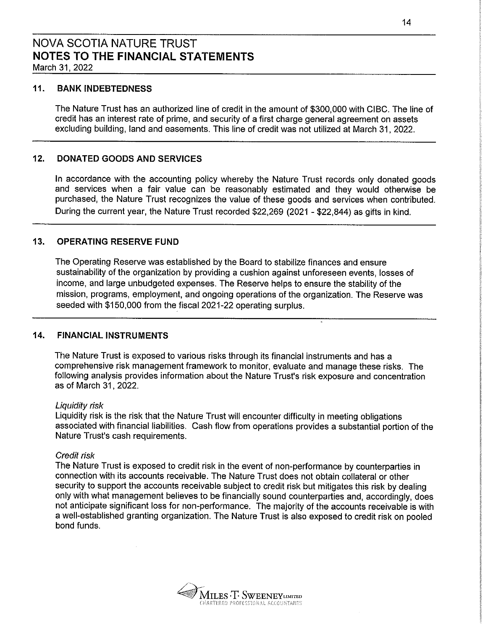### 11. BANK INDEBTEDNESS

The Nature Trust has an authorized line of credit in the amount of \$300,000 with CIBC. The line of credit has an interest rate of prime, and security of a first charge general agreement on assets excluding building, Iand and easements. This line of credit was not utilized at March 31, 2022.

### 12. DONATED GOODS AND SERVICES

In accordance with the accounting policy whereby the Nature Trust records only donated goods and services when a fair value can be reasonably estimated and they would otherwise be purchased, the Nature Trust recognizes the value of these goods and services when contributed. During the current year, the Nature Trust recorded \$22,269 (2021 - \$22,844) as gifts in kind.

### 13. OPERATING RESERVE FUND

The Operating Reserve was established by the Board to stabilize finances and ensure sustainability of the organization by providing a cushion against unforeseen events, losses of income, and large unbudgeted expenses. The Reserve helps to ensure the stability of the mission, programs, employment, and ongoing operations of the organization. The Reserve was seeded with \$150,000 from the fiscal 2021-22 operating surplus.

### 14. FINANCIAL INSTRUMENTS

The Nature Trust is exposed to various risks through its financial instruments and has a comprehensive risk management framework to monitor, evaluate and manage these risks. The following analysis provides information about the Nature Trust's risk exposure and concentration as of March 31, 2022.

#### Liquidity risk

Liquidity risk is the risk that the Nature Trust will encounter difficulty in meeting obligations associated with financial liabilities. Cash flow from operations provides a substantial portion of the Nature Trust's cash requirements.

### Credit risk

The Nature Trust is exposed to credit risk in the event of non-performance by counterparties in connection with its accounts receivable. The Nature Trust does not obtain collateral or other security to support the accounts receivable subject to credit risk but mitigates this risk by dealing only with what management believes to be financially sound counterparties and, accordingly, does not anticipate significant loss for non-performance. The majority of the accounts receivable is with a well-established granting organization. The Nature Trust is also exposed to credit risk on pooled bond funds.